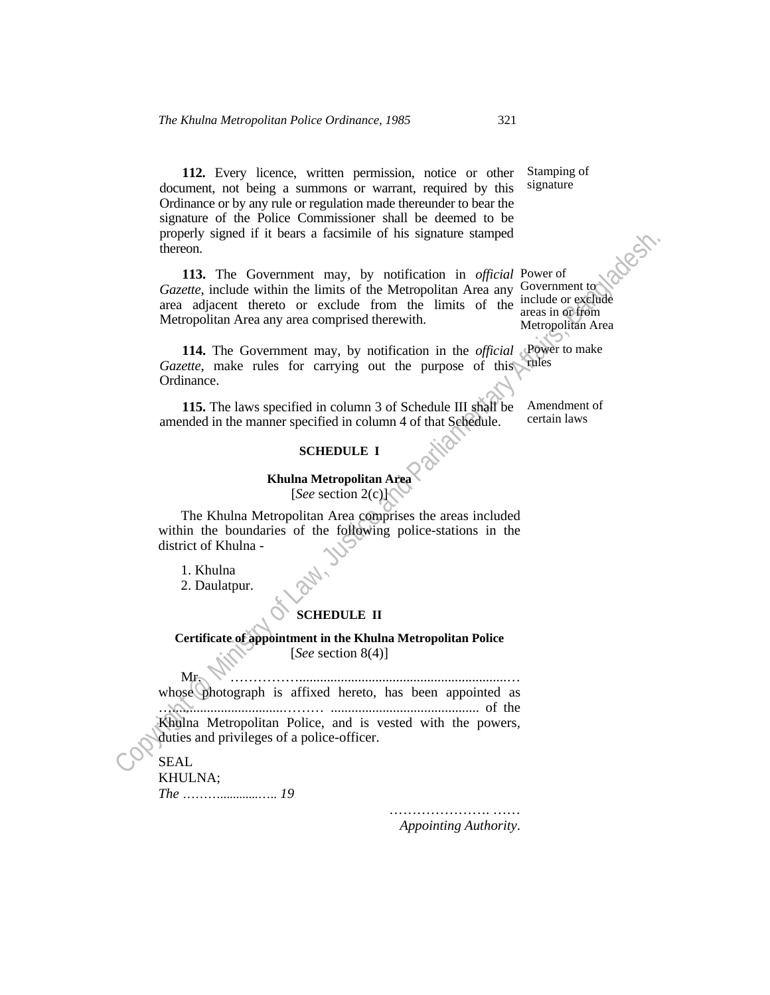**112.** Every licence, written permission, notice or other document, not being a summons or warrant, required by this Ordinance or by any rule or regulation made thereunder to bear the signature of the Police Commissioner shall be deemed to be properly signed if it bears a facsimile of his signature stamped thereon.

113. The Government may, by notification in *official* Power of Gazette, include within the limits of the Metropolitan Area any Government to area adjacent thereto or exclude from the limits of the include or exclude Metropolitan Area any area comprised therewith. areas in or from Metropolitan Area

**114.** The Government may, by notification in the *official* Power to make Gazette, make rules for carrying out the purpose of this rules Ordinance.

 **115.** The laws specified in column 3 of Schedule III shall be amended in the manner specified in column 4 of that Schedule. Amendment of certain laws

## **SCHEDULE I**

## **Khulna Metropolitan Area**  [*See* section 2(c)]

 The Khulna Metropolitan Area comprises the areas included within the boundaries of the following police-stations in the district of Khulna -

1. Khulna

2. Daulatpur.

## **SCHEDULE II**

## **Certificate of appointment in the Khulna Metropolitan Police**  [*See* section 8(4)]

property signed it it bears a facsumate of his signature stamped<br>
Corzero, include within the limits of the Micropolitan Area and Corditation<br>
area adjacent thereto or exclude from the limits of the ansas in diffeomed<br>
Me  $M_{\mathcal{F}}$ whose photograph is affixed hereto, has been appointed as …................................……… ........................................... of the Khulna Metropolitan Police, and is vested with the powers, duties and privileges of a police-officer.

SEAL

KHULNA; *The* ………............….. *19* 

> ……………………………… *Appointing Authority*.

Stamping of signature